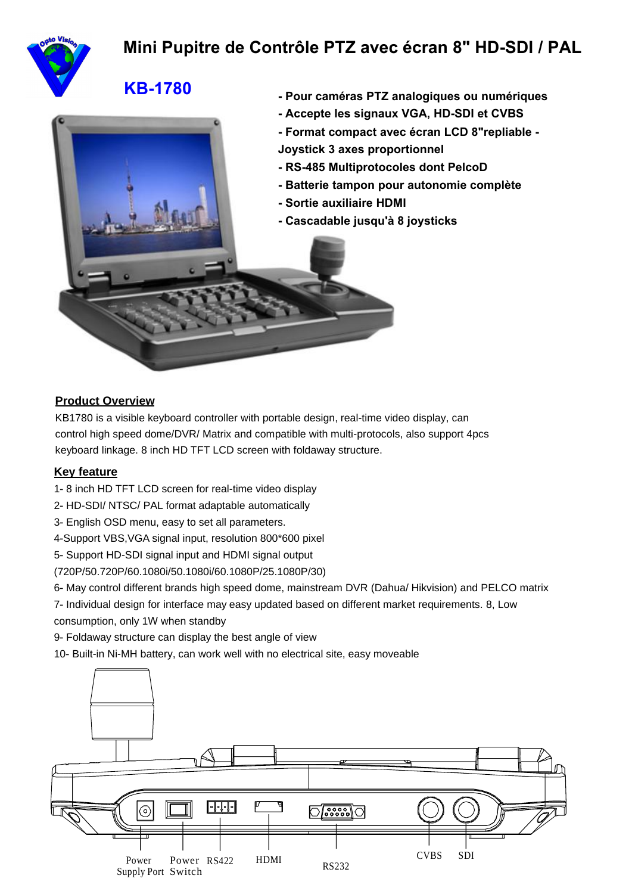

# **Mini Pupitre de Contrôle PTZ avec écran 8" HD-SDI / PAL**

# **KB-1780 - Pour caméras PTZ analogiques ou numériques**



#### **Product Overview**

KB1780 is a visible keyboard controller with portable design, real-time video display, can control high speed dome/DVR/ Matrix and compatible with multi-protocols, also support 4pcs keyboard linkage. 8 inch HD TFT LCD screen with foldaway structure.

#### **Key feature**

- 1- 8 inch HD TFT LCD screen for real-time video display
- 2- HD-SDI/ NTSC/ PAL format adaptable automatically
- 3- English OSD menu, easy to set all parameters.
- 4-Support VBS,VGA signal input, resolution 800\*600 pixel
- 5- Support HD-SDI signal input and HDMI signal output
- (720P/50.720P/60.1080i/50.1080i/60.1080P/25.1080P/30)
- 6- May control different brands high speed dome, mainstream DVR (Dahua/ Hikvision) and PELCO matrix
- 7- Individual design for interface may easy updated based on different market requirements. 8, Low consumption, only 1W when standby
- 9- Foldaway structure can display the best angle of view
- 10- Built-in Ni-MH battery, can work well with no electrical site, easy moveable

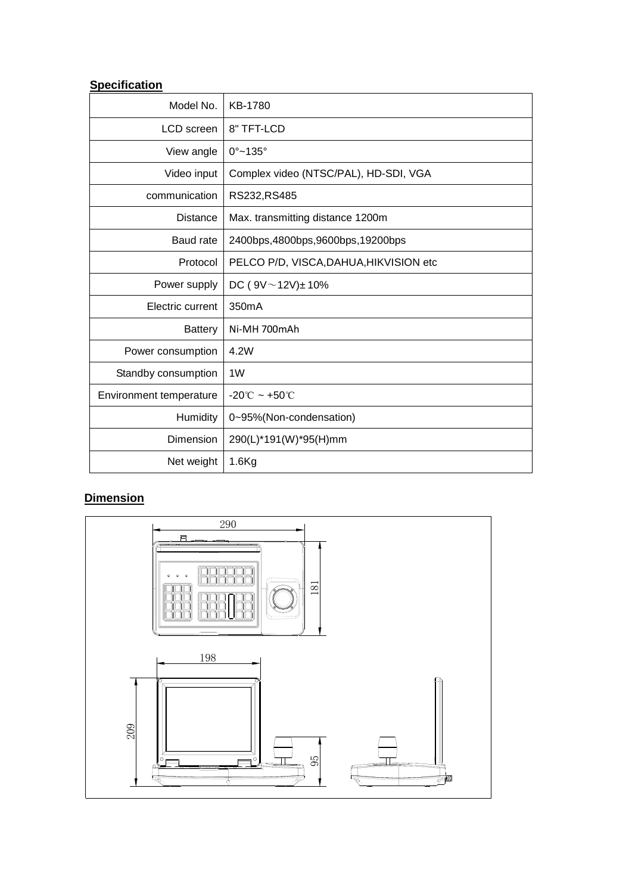## **Specification**

| Model No.               | KB-1780                                |
|-------------------------|----------------------------------------|
| LCD screen              | 8" TFT-LCD                             |
| View angle              | $0^{\circ}$ ~135 $^{\circ}$            |
| Video input             | Complex video (NTSC/PAL), HD-SDI, VGA  |
| communication           | RS232, RS485                           |
| <b>Distance</b>         | Max. transmitting distance 1200m       |
| Baud rate               | 2400bps, 4800bps, 9600bps, 19200bps    |
| Protocol                | PELCO P/D, VISCA, DAHUA, HIKVISION etc |
| Power supply            | DC ( $9V \sim 12V$ ) ± 10%             |
| Electric current        | 350 <sub>m</sub> A                     |
| <b>Battery</b>          | Ni-MH 700mAh                           |
| Power consumption       | 4.2W                                   |
| Standby consumption     | 1W                                     |
| Environment temperature | $-20^{\circ}$ C ~ +50 $^{\circ}$ C     |
| <b>Humidity</b>         | 0~95%(Non-condensation)                |
| Dimension               | 290(L)*191(W)*95(H)mm                  |
| Net weight              | $1.6$ Kg                               |

## **Dimension**